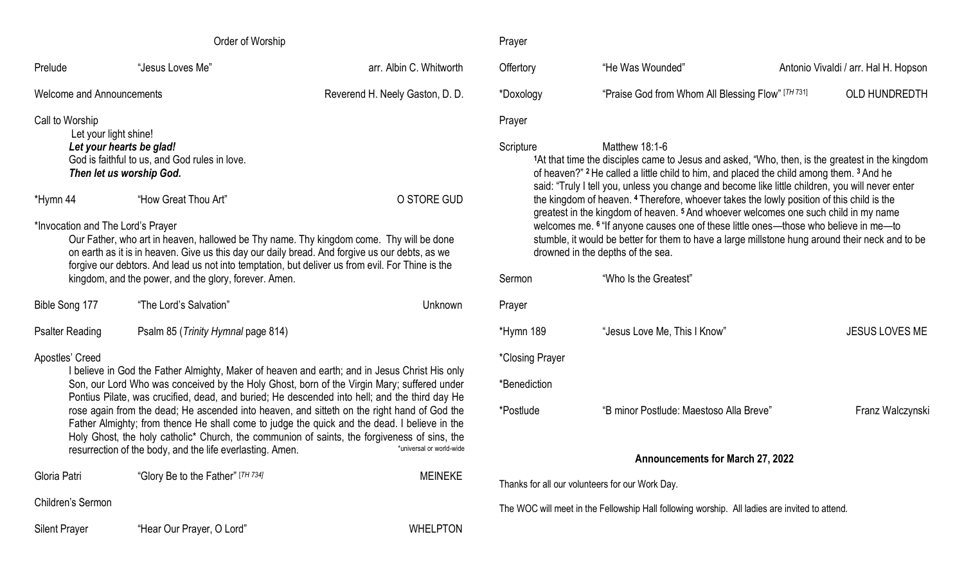| Order of Worship                                                                                                                                                                                                                                                                                                                                                     |                                                                                 |                                 | Prayer                        |
|----------------------------------------------------------------------------------------------------------------------------------------------------------------------------------------------------------------------------------------------------------------------------------------------------------------------------------------------------------------------|---------------------------------------------------------------------------------|---------------------------------|-------------------------------|
| Prelude                                                                                                                                                                                                                                                                                                                                                              | "Jesus Loves Me"                                                                | arr. Albin C. Whitworth         | Offertory                     |
| <b>Welcome and Announcements</b>                                                                                                                                                                                                                                                                                                                                     |                                                                                 | Reverend H. Neely Gaston, D. D. | *Doxology                     |
| Call to Worship                                                                                                                                                                                                                                                                                                                                                      | Let your light shine!<br>Let your hearts be glad!                               |                                 | Prayer<br>Scripture           |
|                                                                                                                                                                                                                                                                                                                                                                      | God is faithful to us, and God rules in love.<br>Then let us worship God.       |                                 | <sup>1</sup> At tha<br>of hea |
| *Hymn 44                                                                                                                                                                                                                                                                                                                                                             | "How Great Thou Art"                                                            | O STORE GUD                     | said: "<br>the kii<br>greate  |
| *Invocation and The Lord's Prayer<br>Our Father, who art in heaven, hallowed be Thy name. Thy kingdom come. Thy will be done<br>on earth as it is in heaven. Give us this day our daily bread. And forgive us our debts, as we<br>forgive our debtors. And lead us not into temptation, but deliver us from evil. For Thine is the                                   | welco<br>stumb<br>drowr<br>Sermon                                               |                                 |                               |
| Bible Song 177                                                                                                                                                                                                                                                                                                                                                       | kingdom, and the power, and the glory, forever. Amen.<br>"The Lord's Salvation" | Unknown                         | Prayer                        |
| <b>Psalter Reading</b>                                                                                                                                                                                                                                                                                                                                               | Psalm 85 (Trinity Hymnal page 814)                                              |                                 | *Hymn 189                     |
| Apostles' Creed<br>I believe in God the Father Almighty, Maker of heaven and earth; and in Jesus Christ His only                                                                                                                                                                                                                                                     | *Closing Pray                                                                   |                                 |                               |
| Son, our Lord Who was conceived by the Holy Ghost, born of the Virgin Mary; suffered under<br>Pontius Pilate, was crucified, dead, and buried; He descended into hell; and the third day He                                                                                                                                                                          | *Benediction                                                                    |                                 |                               |
| rose again from the dead; He ascended into heaven, and sitteth on the right hand of God the<br>Father Almighty; from thence He shall come to judge the quick and the dead. I believe in the<br>Holy Ghost, the holy catholic <sup>*</sup> Church, the communion of saints, the forgiveness of sins, the<br>resurrection of the body, and the life everlasting. Amen. | *Postlude                                                                       |                                 |                               |
| Gloria Patri                                                                                                                                                                                                                                                                                                                                                         | "Glory Be to the Father" [TH 734]                                               | <b>MEINEKE</b>                  | Thanks for all o              |
| Children's Sermon                                                                                                                                                                                                                                                                                                                                                    |                                                                                 |                                 | The WOC will n                |
| <b>Silent Prayer</b>                                                                                                                                                                                                                                                                                                                                                 | "Hear Our Prayer, O Lord"                                                       | <b>WHELPTON</b>                 |                               |

| Offertory                                                                                                                                                                                                                                                                                                                                                                                                                                                                                                                                                                                                                                                                                                                                                            | "He Was Wounded"                                  |  | Antonio Vivaldi / arr. Hal H. Hopson |  |
|----------------------------------------------------------------------------------------------------------------------------------------------------------------------------------------------------------------------------------------------------------------------------------------------------------------------------------------------------------------------------------------------------------------------------------------------------------------------------------------------------------------------------------------------------------------------------------------------------------------------------------------------------------------------------------------------------------------------------------------------------------------------|---------------------------------------------------|--|--------------------------------------|--|
| *Doxology                                                                                                                                                                                                                                                                                                                                                                                                                                                                                                                                                                                                                                                                                                                                                            | "Praise God from Whom All Blessing Flow" [TH 731] |  | <b>OLD HUNDREDTH</b>                 |  |
| Prayer                                                                                                                                                                                                                                                                                                                                                                                                                                                                                                                                                                                                                                                                                                                                                               |                                                   |  |                                      |  |
| Scripture<br>Matthew 18:1-6<br>1At that time the disciples came to Jesus and asked, "Who, then, is the greatest in the kingdom<br>of heaven?" <sup>2</sup> He called a little child to him, and placed the child among them. <sup>3</sup> And he<br>said: "Truly I tell you, unless you change and become like little children, you will never enter<br>the kingdom of heaven. <sup>4</sup> Therefore, whoever takes the lowly position of this child is the<br>greatest in the kingdom of heaven. <sup>5</sup> And whoever welcomes one such child in my name<br>welcomes me. <sup>6</sup> "If anyone causes one of these little ones—those who believe in me—to<br>stumble, it would be better for them to have a large millstone hung around their neck and to be |                                                   |  |                                      |  |

|                                         | drowned in the depths of the sea.       |                       |  |  |
|-----------------------------------------|-----------------------------------------|-----------------------|--|--|
| Sermon                                  | "Who Is the Greatest"                   |                       |  |  |
| Prayer                                  |                                         |                       |  |  |
| *Hymn 189                               | "Jesus Love Me, This I Know"            | <b>JESUS LOVES ME</b> |  |  |
| *Closing Prayer                         |                                         |                       |  |  |
| *Benediction                            |                                         |                       |  |  |
| *Postlude                               | "B minor Postlude: Maestoso Alla Breve" | Franz Walczynski      |  |  |
|                                         |                                         |                       |  |  |
| <b>Announcements for March 27, 2022</b> |                                         |                       |  |  |

our volunteers for our Work Day.

meet in the Fellowship Hall following worship. All ladies are invited to attend.